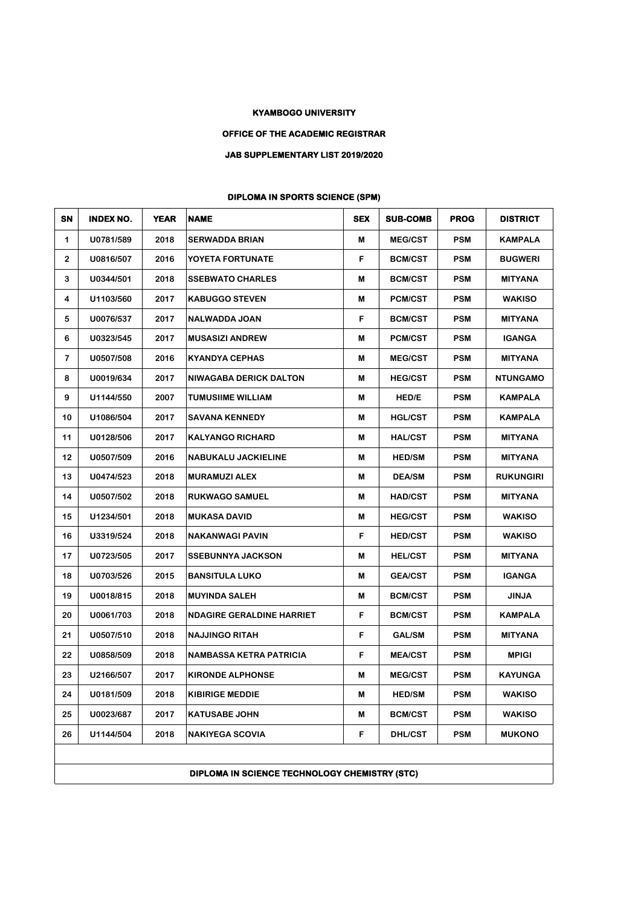## **KYAMBOGO UNIVERSITY**

## **OFFICE OF THE ACADEMIC REGISTRAR**

## **JAB SUPPLEMENTARY LIST 2019/2020**

## **DIPLOMA IN SPORTS SCIENCE (SPM)**

| SN           | <b>INDEX NO.</b>                              | <b>YEAR</b> | <b>NAME</b>                      | <b>SEX</b> | <b>SUB-COMB</b> | <b>PROG</b> | <b>DISTRICT</b>  |  |
|--------------|-----------------------------------------------|-------------|----------------------------------|------------|-----------------|-------------|------------------|--|
| 1            | U0781/589                                     | 2018        | <b>SERWADDA BRIAN</b>            | M          | <b>MEG/CST</b>  | <b>PSM</b>  | KAMPALA          |  |
| $\mathbf{2}$ | U0816/507                                     | 2016        | YOYETA FORTUNATE                 | F.         | <b>BCM/CST</b>  | <b>PSM</b>  | <b>BUGWERI</b>   |  |
| 3            | U0344/501                                     | 2018        | <b>SSEBWATO CHARLES</b>          | M          | <b>BCM/CST</b>  | <b>PSM</b>  | MITYANA          |  |
| 4            | U1103/560                                     | 2017        | <b>KABUGGO STEVEN</b>            | M          | <b>PCM/CST</b>  | <b>PSM</b>  | <b>WAKISO</b>    |  |
| 5            | U0076/537                                     | 2017        | NALWADDA JOAN                    | F          | <b>BCM/CST</b>  | <b>PSM</b>  | <b>MITYANA</b>   |  |
| 6            | U0323/545                                     | 2017        | <b>MUSASIZI ANDREW</b>           | М          | <b>PCM/CST</b>  | <b>PSM</b>  | <b>IGANGA</b>    |  |
| 7            | U0507/508                                     | 2016        | <b>KYANDYA CEPHAS</b>            | M          | <b>MEG/CST</b>  | <b>PSM</b>  | <b>MITYANA</b>   |  |
| 8            | U0019/634                                     | 2017        | <b>NIWAGABA DERICK DALTON</b>    | М          | <b>HEG/CST</b>  | <b>PSM</b>  | <b>NTUNGAMO</b>  |  |
| 9            | U1144/550                                     | 2007        | <b>TUMUSIIME WILLIAM</b>         | M          | HED/E           | <b>PSM</b>  | KAMPALA          |  |
| 10           | U1086/504                                     | 2017        | <b>SAVANA KENNEDY</b>            | M          | <b>HGL/CST</b>  | <b>PSM</b>  | KAMPALA          |  |
| 11           | U0128/506                                     | 2017        | <b>KALYANGO RICHARD</b>          | M          | <b>HAL/CST</b>  | <b>PSM</b>  | <b>MITYANA</b>   |  |
| 12           | U0507/509                                     | 2016        | <b>NABUKALU JACKIELINE</b>       | M          | <b>HED/SM</b>   | <b>PSM</b>  | <b>MITYANA</b>   |  |
| 13           | U0474/523                                     | 2018        | <b>MURAMUZI ALEX</b>             | M          | <b>DEA/SM</b>   | <b>PSM</b>  | <b>RUKUNGIRI</b> |  |
| 14           | U0507/502                                     | 2018        | <b>RUKWAGO SAMUEL</b>            | M          | <b>HAD/CST</b>  | <b>PSM</b>  | <b>MITYANA</b>   |  |
| 15           | U1234/501                                     | 2018        | <b>MUKASA DAVID</b>              | M          | <b>HEG/CST</b>  | <b>PSM</b>  | <b>WAKISO</b>    |  |
| 16           | U3319/524                                     | 2018        | <b>NAKANWAGI PAVIN</b>           | F          | <b>HED/CST</b>  | <b>PSM</b>  | <b>WAKISO</b>    |  |
| 17           | U0723/505                                     | 2017        | <b>SSEBUNNYA JACKSON</b>         | M          | <b>HEL/CST</b>  | <b>PSM</b>  | MITYANA          |  |
| 18           | U0703/526                                     | 2015        | <b>BANSITULA LUKO</b>            | M          | <b>GEA/CST</b>  | <b>PSM</b>  | <b>IGANGA</b>    |  |
| 19           | U0018/815                                     | 2018        | <b>MUYINDA SALEH</b>             | M          | <b>BCM/CST</b>  | <b>PSM</b>  | <b>JINJA</b>     |  |
| 20           | U0061/703                                     | 2018        | <b>NDAGIRE GERALDINE HARRIET</b> | F          | <b>BCM/CST</b>  | <b>PSM</b>  | KAMPALA          |  |
| 21           | U0507/510                                     | 2018        | <b>NAJJINGO RITAH</b>            | F          | <b>GAL/SM</b>   | <b>PSM</b>  | <b>MITYANA</b>   |  |
| 22           | U0858/509                                     | 2018        | <b>NAMBASSA KETRA PATRICIA</b>   | F          | <b>MEA/CST</b>  | <b>PSM</b>  | <b>MPIGI</b>     |  |
| 23           | U2166/507                                     | 2017        | <b>KIRONDE ALPHONSE</b>          | M          | <b>MEG/CST</b>  | <b>PSM</b>  | <b>KAYUNGA</b>   |  |
| 24           | U0181/509                                     | 2018        | <b>KIBIRIGE MEDDIE</b>           | M          | <b>HED/SM</b>   | <b>PSM</b>  | WAKISO           |  |
| 25           | U0023/687                                     | 2017        | <b>KATUSABE JOHN</b>             | M          | <b>BCM/CST</b>  | <b>PSM</b>  | <b>WAKISO</b>    |  |
| 26           | U1144/504                                     | 2018        | <b>NAKIYEGA SCOVIA</b>           | F          | <b>DHL/CST</b>  | <b>PSM</b>  | <b>MUKONO</b>    |  |
|              |                                               |             |                                  |            |                 |             |                  |  |
|              | DIPLOMA IN SCIENCE TECHNOLOGY CHEMISTRY (STC) |             |                                  |            |                 |             |                  |  |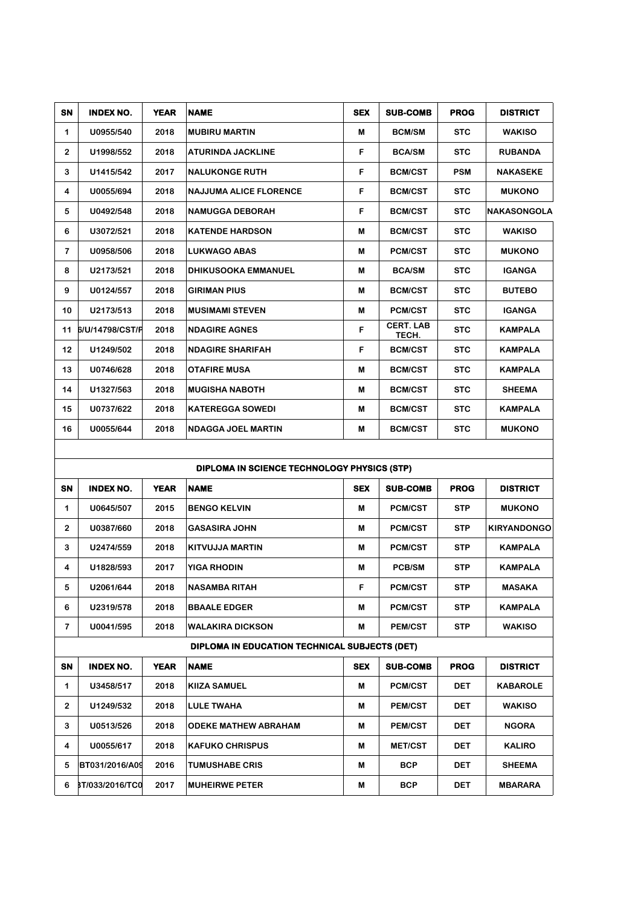| SN             | <b>INDEX NO.</b>                            | <b>YEAR</b> | <b>NAME</b>                   | <b>SEX</b> | <b>SUB-COMB</b>           | <b>PROG</b> | <b>DISTRICT</b>    |  |
|----------------|---------------------------------------------|-------------|-------------------------------|------------|---------------------------|-------------|--------------------|--|
| 1              | U0955/540                                   | 2018        | <b>MUBIRU MARTIN</b>          | M          | <b>BCM/SM</b>             | <b>STC</b>  | <b>WAKISO</b>      |  |
| $\overline{2}$ | U1998/552                                   | 2018        | <b>ATURINDA JACKLINE</b>      | F          | <b>BCA/SM</b>             | <b>STC</b>  | <b>RUBANDA</b>     |  |
| 3              | U1415/542                                   | 2017        | <b>NALUKONGE RUTH</b>         | F          | <b>BCM/CST</b>            | <b>PSM</b>  | <b>NAKASEKE</b>    |  |
| 4              | U0055/694                                   | 2018        | <b>NAJJUMA ALICE FLORENCE</b> | F          | <b>BCM/CST</b>            | <b>STC</b>  | <b>MUKONO</b>      |  |
| 5              | U0492/548                                   | 2018        | <b>NAMUGGA DEBORAH</b>        | F          | <b>BCM/CST</b>            | <b>STC</b>  | <b>NAKASONGOLA</b> |  |
| 6              | U3072/521                                   | 2018        | <b>KATENDE HARDSON</b>        | M          | <b>BCM/CST</b>            | <b>STC</b>  | <b>WAKISO</b>      |  |
| $\overline{7}$ | U0958/506                                   | 2018        | <b>LUKWAGO ABAS</b>           | M          | <b>PCM/CST</b>            | <b>STC</b>  | <b>MUKONO</b>      |  |
| 8              | U2173/521                                   | 2018        | <b>DHIKUSOOKA EMMANUEL</b>    | M          | <b>BCA/SM</b>             | <b>STC</b>  | <b>IGANGA</b>      |  |
| 9              | U0124/557                                   | 2018        | <b>GIRIMAN PIUS</b>           | M          | <b>BCM/CST</b>            | <b>STC</b>  | <b>BUTEBO</b>      |  |
| 10             | U2173/513                                   | 2018        | <b>MUSIMAMI STEVEN</b>        | M          | <b>PCM/CST</b>            | <b>STC</b>  | <b>IGANGA</b>      |  |
| 11             | 6/U/14798/CST/F                             | 2018        | <b>NDAGIRE AGNES</b>          | F          | <b>CERT. LAB</b><br>TECH. | <b>STC</b>  | <b>KAMPALA</b>     |  |
| 12             | U1249/502                                   | 2018        | <b>NDAGIRE SHARIFAH</b>       | F          | <b>BCM/CST</b>            | <b>STC</b>  | <b>KAMPALA</b>     |  |
| 13             | U0746/628                                   | 2018        | <b>OTAFIRE MUSA</b>           | M          | <b>BCM/CST</b>            | <b>STC</b>  | <b>KAMPALA</b>     |  |
| 14             | U1327/563                                   | 2018        | <b>MUGISHA NABOTH</b>         | M          | <b>BCM/CST</b>            | <b>STC</b>  | <b>SHEEMA</b>      |  |
| 15             | U0737/622                                   | 2018        | <b>KATEREGGA SOWEDI</b>       | M          | <b>BCM/CST</b>            | <b>STC</b>  | <b>KAMPALA</b>     |  |
| 16             | U0055/644                                   | 2018        | <b>NDAGGA JOEL MARTIN</b>     | M          | <b>BCM/CST</b>            | <b>STC</b>  | <b>MUKONO</b>      |  |
|                |                                             |             |                               |            |                           |             |                    |  |
|                | DIPLOMA IN SCIENCE TECHNOLOGY PHYSICS (STP) |             |                               |            |                           |             |                    |  |

|                | <u>DII COMA IN OOICNOE TEOHNOEOGT FITHOIOO (OTF)</u> |             |                                               |            |                 |             |                    |  |  |
|----------------|------------------------------------------------------|-------------|-----------------------------------------------|------------|-----------------|-------------|--------------------|--|--|
| <b>SN</b>      | <b>INDEX NO.</b>                                     | <b>YEAR</b> | <b>NAME</b>                                   | <b>SEX</b> | <b>SUB-COMB</b> | <b>PROG</b> | <b>DISTRICT</b>    |  |  |
| 1              | U0645/507                                            | 2015        | <b>BENGO KELVIN</b>                           | M          | <b>PCM/CST</b>  | <b>STP</b>  | <b>MUKONO</b>      |  |  |
| $\overline{2}$ | U0387/660                                            | 2018        | <b>GASASIRA JOHN</b>                          | M          | <b>PCM/CST</b>  | <b>STP</b>  | <b>KIRYANDONGO</b> |  |  |
| 3              | U2474/559                                            | 2018        | <b>KITVUJJA MARTIN</b>                        | M          | <b>PCM/CST</b>  | <b>STP</b>  | <b>KAMPALA</b>     |  |  |
| 4              | U1828/593                                            | 2017        | <b>YIGA RHODIN</b>                            | М          | PCB/SM          | <b>STP</b>  | <b>KAMPALA</b>     |  |  |
| 5              | U2061/644                                            | 2018        | <b>NASAMBA RITAH</b>                          | F          | <b>PCM/CST</b>  | <b>STP</b>  | <b>MASAKA</b>      |  |  |
| 6              | U2319/578                                            | 2018        | <b>BBAALE EDGER</b>                           | M          | <b>PCM/CST</b>  | <b>STP</b>  | <b>KAMPALA</b>     |  |  |
| $\overline{7}$ | U0041/595                                            | 2018        | <b>WALAKIRA DICKSON</b>                       | M          | <b>PEM/CST</b>  | <b>STP</b>  | <b>WAKISO</b>      |  |  |
|                |                                                      |             | DIPLOMA IN EDUCATION TECHNICAL SUBJECTS (DET) |            |                 |             |                    |  |  |
| SN             | <b>INDEX NO.</b>                                     | <b>YEAR</b> | <b>NAME</b>                                   | <b>SEX</b> | <b>SUB-COMB</b> | <b>PROG</b> | <b>DISTRICT</b>    |  |  |
| 1              | U3458/517                                            | 2018        | <b>KIIZA SAMUEL</b>                           | м          | <b>PCM/CST</b>  | <b>DET</b>  | <b>KABAROLE</b>    |  |  |
| $\overline{2}$ | U1249/532                                            | 2018        | <b>LULE TWAHA</b>                             | M          | <b>PEM/CST</b>  | <b>DET</b>  | <b>WAKISO</b>      |  |  |
| 3              | U0513/526                                            | 2018        | <b>ODEKE MATHEW ABRAHAM</b>                   | M          | <b>PEM/CST</b>  | <b>DET</b>  | <b>NGORA</b>       |  |  |
| 4              | U0055/617                                            | 2018        | <b>KAFUKO CHRISPUS</b>                        | M          | <b>MET/CST</b>  | <b>DET</b>  | <b>KALIRO</b>      |  |  |
| 5              | BT031/2016/A09                                       | 2016        | <b>TUMUSHABE CRIS</b>                         | M          | <b>BCP</b>      | <b>DET</b>  | <b>SHEEMA</b>      |  |  |
| 6              | 8T/033/2016/TC0                                      | 2017        | <b>MUHEIRWE PETER</b>                         | M          | <b>BCP</b>      | <b>DET</b>  | <b>MBARARA</b>     |  |  |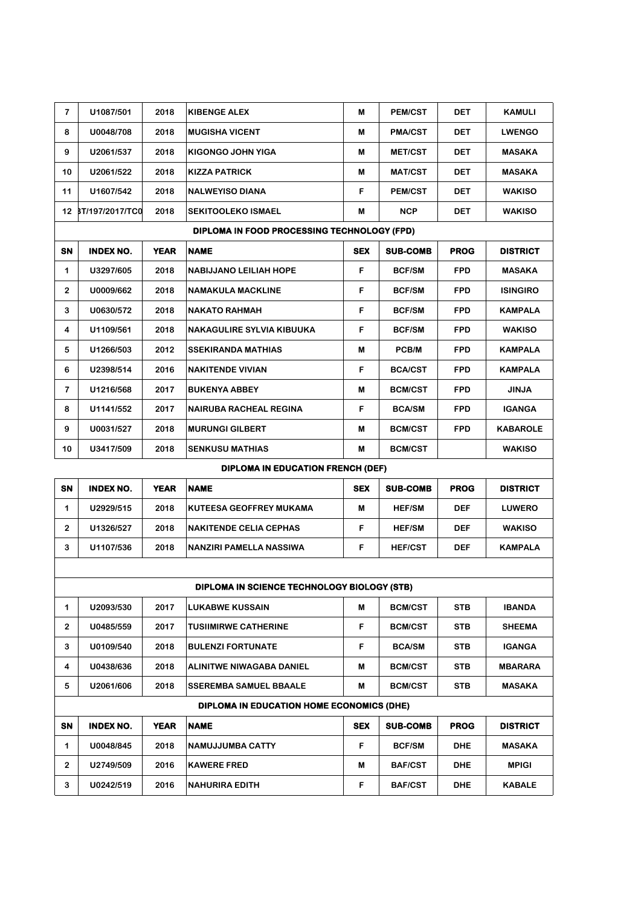| $\overline{7}$ | U1087/501                                   | 2018        | <b>KIBENGE ALEX</b>                              | M          | <b>PEM/CST</b>  | DET         | KAMULI          |  |  |  |
|----------------|---------------------------------------------|-------------|--------------------------------------------------|------------|-----------------|-------------|-----------------|--|--|--|
| 8              | U0048/708                                   | 2018        | <b>MUGISHA VICENT</b>                            | M          | <b>PMA/CST</b>  | DET         | <b>LWENGO</b>   |  |  |  |
| 9              | U2061/537                                   | 2018        | <b>KIGONGO JOHN YIGA</b>                         | M          | <b>MET/CST</b>  | DET         | <b>MASAKA</b>   |  |  |  |
| 10             | U2061/522                                   | 2018        | <b>KIZZA PATRICK</b>                             | M          | <b>MAT/CST</b>  | DET         | <b>MASAKA</b>   |  |  |  |
| 11             | U1607/542                                   | 2018        | <b>NALWEYISO DIANA</b>                           | F          | <b>PEM/CST</b>  | DET         | <b>WAKISO</b>   |  |  |  |
|                | 12 BT/197/2017/TC0                          | 2018        | <b>SEKITOOLEKO ISMAEL</b>                        | M          | <b>NCP</b>      | DET         | <b>WAKISO</b>   |  |  |  |
|                | DIPLOMA IN FOOD PROCESSING TECHNOLOGY (FPD) |             |                                                  |            |                 |             |                 |  |  |  |
| SN             | <b>INDEX NO.</b>                            | <b>YEAR</b> | <b>NAME</b>                                      | <b>SEX</b> | <b>SUB-COMB</b> | <b>PROG</b> | <b>DISTRICT</b> |  |  |  |
| 1              | U3297/605                                   | 2018        | <b>NABIJJANO LEILIAH HOPE</b>                    | F          | <b>BCF/SM</b>   | <b>FPD</b>  | MASAKA          |  |  |  |
| 2              | U0009/662                                   | 2018        | <b>NAMAKULA MACKLINE</b>                         | F          | <b>BCF/SM</b>   | <b>FPD</b>  | <b>ISINGIRO</b> |  |  |  |
| 3              | U0630/572                                   | 2018        | <b>NAKATO RAHMAH</b>                             | F          | <b>BCF/SM</b>   | <b>FPD</b>  | <b>KAMPALA</b>  |  |  |  |
| 4              | U1109/561                                   | 2018        | <b>NAKAGULIRE SYLVIA KIBUUKA</b>                 | F          | <b>BCF/SM</b>   | <b>FPD</b>  | <b>WAKISO</b>   |  |  |  |
| 5              | U1266/503                                   | 2012        | <b>SSEKIRANDA MATHIAS</b>                        | M          | PCB/M           | <b>FPD</b>  | <b>KAMPALA</b>  |  |  |  |
| 6              | U2398/514                                   | 2016        | <b>NAKITENDE VIVIAN</b>                          | F          | <b>BCA/CST</b>  | <b>FPD</b>  | <b>KAMPALA</b>  |  |  |  |
| 7              | U1216/568                                   | 2017        | <b>BUKENYA ABBEY</b>                             | M          | <b>BCM/CST</b>  | <b>FPD</b>  | <b>JINJA</b>    |  |  |  |
| 8              | U1141/552                                   | 2017        | <b>NAIRUBA RACHEAL REGINA</b>                    | F          | <b>BCA/SM</b>   | <b>FPD</b>  | <b>IGANGA</b>   |  |  |  |
| 9              | U0031/527                                   | 2018        | <b>MURUNGI GILBERT</b>                           | M          | <b>BCM/CST</b>  | <b>FPD</b>  | <b>KABAROLE</b> |  |  |  |
| 10             | U3417/509                                   | 2018        | <b>SENKUSU MATHIAS</b>                           | M          | <b>BCM/CST</b>  |             | <b>WAKISO</b>   |  |  |  |
|                |                                             |             | <b>DIPLOMA IN EDUCATION FRENCH (DEF)</b>         |            |                 |             |                 |  |  |  |
| SN             | <b>INDEX NO.</b>                            | <b>YEAR</b> | <b>NAME</b>                                      | <b>SEX</b> | <b>SUB-COMB</b> | <b>PROG</b> | <b>DISTRICT</b> |  |  |  |
| $\mathbf 1$    | U2929/515                                   | 2018        | KUTEESA GEOFFREY MUKAMA                          | М          | <b>HEF/SM</b>   | <b>DEF</b>  | <b>LUWERO</b>   |  |  |  |
| 2              | U1326/527                                   | 2018        | <b>NAKITENDE CELIA CEPHAS</b>                    | F          | <b>HEF/SM</b>   | <b>DEF</b>  | <b>WAKISO</b>   |  |  |  |
| 3              | U1107/536                                   | 2018        | NANZIRI PAMELLA NASSIWA                          | F          | <b>HEF/CST</b>  | <b>DEF</b>  | <b>KAMPALA</b>  |  |  |  |
|                |                                             |             |                                                  |            |                 |             |                 |  |  |  |
|                |                                             |             | DIPLOMA IN SCIENCE TECHNOLOGY BIOLOGY (STB)      |            |                 |             |                 |  |  |  |
| 1              | U2093/530                                   | 2017        | <b>LUKABWE KUSSAIN</b>                           | M          | <b>BCM/CST</b>  | STB         | <b>IBANDA</b>   |  |  |  |
| $\mathbf{2}$   | U0485/559                                   | 2017        | <b>TUSIIMIRWE CATHERINE</b>                      | F          | <b>BCM/CST</b>  | STB         | <b>SHEEMA</b>   |  |  |  |
| 3              | U0109/540                                   | 2018        | <b>BULENZI FORTUNATE</b>                         | F          | <b>BCA/SM</b>   | STB         | <b>IGANGA</b>   |  |  |  |
| 4              | U0438/636                                   | 2018        | ALINITWE NIWAGABA DANIEL                         | M          | <b>BCM/CST</b>  | STB         | <b>MBARARA</b>  |  |  |  |
| 5              | U2061/606                                   | 2018        | <b>SSEREMBA SAMUEL BBAALE</b>                    | M          | <b>BCM/CST</b>  | STB         | <b>MASAKA</b>   |  |  |  |
|                |                                             |             | <b>DIPLOMA IN EDUCATION HOME ECONOMICS (DHE)</b> |            |                 |             |                 |  |  |  |
| SN             | <b>INDEX NO.</b>                            | <b>YEAR</b> | <b>NAME</b>                                      | <b>SEX</b> | <b>SUB-COMB</b> | <b>PROG</b> | <b>DISTRICT</b> |  |  |  |
| 1              | U0048/845                                   | 2018        | NAMUJJUMBA CATTY                                 | F          | <b>BCF/SM</b>   | <b>DHE</b>  | <b>MASAKA</b>   |  |  |  |
| $\mathbf{2}$   | U2749/509                                   | 2016        | <b>KAWERE FRED</b>                               | M          | <b>BAF/CST</b>  | <b>DHE</b>  | <b>MPIGI</b>    |  |  |  |
| 3              | U0242/519                                   | 2016        | <b>NAHURIRA EDITH</b>                            | F          | <b>BAF/CST</b>  | <b>DHE</b>  | <b>KABALE</b>   |  |  |  |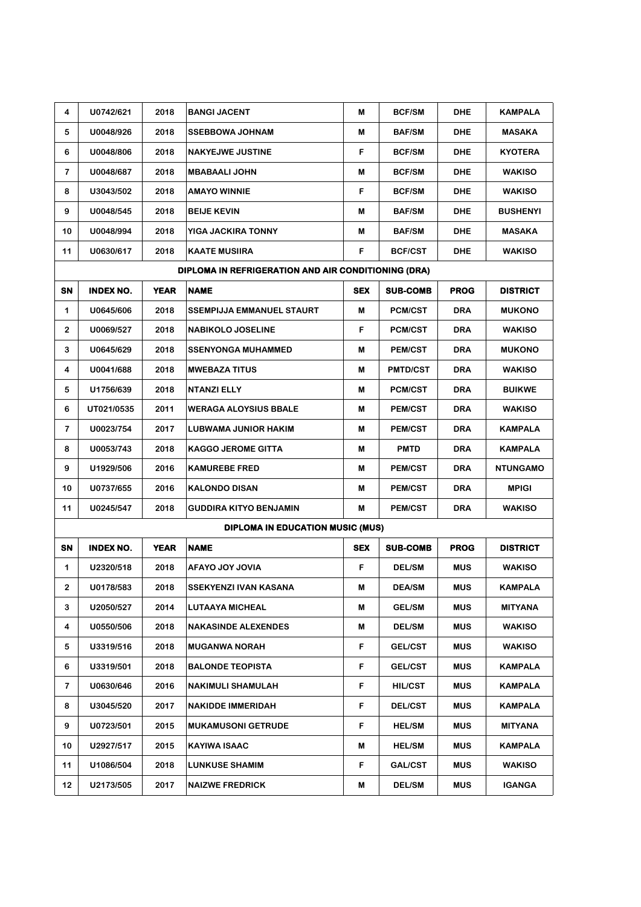| 4                       | U0742/621        | 2018        | <b>BANGI JACENT</b>                                 | M          | <b>BCF/SM</b>   | <b>DHE</b>  | <b>KAMPALA</b>  |
|-------------------------|------------------|-------------|-----------------------------------------------------|------------|-----------------|-------------|-----------------|
| 5                       | U0048/926        | 2018        | <b>SSEBBOWA JOHNAM</b>                              | M          | <b>BAF/SM</b>   | <b>DHE</b>  | <b>MASAKA</b>   |
| 6                       | U0048/806        | 2018        | <b>NAKYEJWE JUSTINE</b>                             | F          | <b>BCF/SM</b>   | <b>DHE</b>  | <b>KYOTERA</b>  |
| 7                       | U0048/687        | 2018        | <b>MBABAALI JOHN</b>                                | M          | <b>BCF/SM</b>   | <b>DHE</b>  | <b>WAKISO</b>   |
| 8                       | U3043/502        | 2018        | <b>AMAYO WINNIE</b>                                 | F          | <b>BCF/SM</b>   | <b>DHE</b>  | <b>WAKISO</b>   |
| 9                       | U0048/545        | 2018        | <b>BEIJE KEVIN</b>                                  | M          | <b>BAF/SM</b>   | <b>DHE</b>  | <b>BUSHENYI</b> |
| 10                      | U0048/994        | 2018        | YIGA JACKIRA TONNY                                  | M          | <b>BAF/SM</b>   | <b>DHE</b>  | <b>MASAKA</b>   |
| 11                      | U0630/617        | 2018        | <b>KAATE MUSIIRA</b>                                | F          | <b>BCF/CST</b>  | <b>DHE</b>  | <b>WAKISO</b>   |
|                         |                  |             | DIPLOMA IN REFRIGERATION AND AIR CONDITIONING (DRA) |            |                 |             |                 |
| SN                      | <b>INDEX NO.</b> | <b>YEAR</b> | <b>NAME</b>                                         | <b>SEX</b> | <b>SUB-COMB</b> | <b>PROG</b> | <b>DISTRICT</b> |
| 1                       | U0645/606        | 2018        | <b>SSEMPIJJA EMMANUEL STAURT</b>                    | M          | <b>PCM/CST</b>  | <b>DRA</b>  | <b>MUKONO</b>   |
| 2                       | U0069/527        | 2018        | <b>NABIKOLO JOSELINE</b>                            | F          | <b>PCM/CST</b>  | <b>DRA</b>  | <b>WAKISO</b>   |
| 3                       | U0645/629        | 2018        | <b>SSENYONGA MUHAMMED</b>                           | M          | <b>PEM/CST</b>  | <b>DRA</b>  | <b>MUKONO</b>   |
| 4                       | U0041/688        | 2018        | <b>MWEBAZA TITUS</b>                                | M          | <b>PMTD/CST</b> | <b>DRA</b>  | <b>WAKISO</b>   |
| 5                       | U1756/639        | 2018        | <b>NTANZI ELLY</b>                                  | M          | PCM/CST         | <b>DRA</b>  | <b>BUIKWE</b>   |
| 6                       | UT021/0535       | 2011        | <b>WERAGA ALOYSIUS BBALE</b>                        | M          | <b>PEM/CST</b>  | <b>DRA</b>  | <b>WAKISO</b>   |
| 7                       | U0023/754        | 2017        | <b>LUBWAMA JUNIOR HAKIM</b>                         | M          | <b>PEM/CST</b>  | <b>DRA</b>  | <b>KAMPALA</b>  |
| 8                       | U0053/743        | 2018        | <b>KAGGO JEROME GITTA</b>                           | M          | <b>PMTD</b>     | <b>DRA</b>  | <b>KAMPALA</b>  |
| 9                       | U1929/506        | 2016        | <b>KAMUREBE FRED</b>                                | M          | <b>PEM/CST</b>  | <b>DRA</b>  | <b>NTUNGAMO</b> |
| 10                      | U0737/655        | 2016        | <b>KALONDO DISAN</b>                                | M          | <b>PEM/CST</b>  | <b>DRA</b>  | <b>MPIGI</b>    |
| 11                      | U0245/547        | 2018        | <b>GUDDIRA KITYO BENJAMIN</b>                       | M          | <b>PEM/CST</b>  | <b>DRA</b>  | <b>WAKISO</b>   |
|                         |                  |             | <b>DIPLOMA IN EDUCATION MUSIC (MUS)</b>             |            |                 |             |                 |
| SN                      | <b>INDEX NO.</b> | <b>YEAR</b> | <b>NAME</b>                                         | <b>SEX</b> | <b>SUB-COMB</b> | <b>PROG</b> | <b>DISTRICT</b> |
| 1                       | U2320/518        | 2018        | AFAYO JOY JOVIA                                     | F          | <b>DEL/SM</b>   | <b>MUS</b>  | <b>WAKISO</b>   |
| 2                       | U0178/583        | 2018        | SSEKYENZI IVAN KASANA                               | M          | <b>DEA/SM</b>   | MUS         | KAMPALA         |
| 3                       | U2050/527        | 2014        | <b>LUTAAYA MICHEAL</b>                              | M          | <b>GEL/SM</b>   | <b>MUS</b>  | <b>MITYANA</b>  |
| 4                       | U0550/506        | 2018        | <b>NAKASINDE ALEXENDES</b>                          | М          | <b>DEL/SM</b>   | MUS         | <b>WAKISO</b>   |
| 5                       | U3319/516        | 2018        | <b>MUGANWA NORAH</b>                                | F          | <b>GEL/CST</b>  | MUS         | <b>WAKISO</b>   |
| 6                       | U3319/501        | 2018        | <b>BALONDE TEOPISTA</b>                             | F.         | <b>GEL/CST</b>  | MUS         | <b>KAMPALA</b>  |
| $\overline{\mathbf{r}}$ | U0630/646        | 2016        | <b>NAKIMULI SHAMULAH</b>                            | F          | <b>HIL/CST</b>  | MUS         | <b>KAMPALA</b>  |
| 8                       | U3045/520        | 2017        | <b>NAKIDDE IMMERIDAH</b>                            | F          | <b>DEL/CST</b>  | <b>MUS</b>  | <b>KAMPALA</b>  |
| 9                       | U0723/501        | 2015        | <b>MUKAMUSONI GETRUDE</b>                           | F          | <b>HEL/SM</b>   | <b>MUS</b>  | <b>MITYANA</b>  |
| 10                      | U2927/517        | 2015        | <b>KAYIWA ISAAC</b>                                 | M          | <b>HEL/SM</b>   | <b>MUS</b>  | <b>KAMPALA</b>  |
| 11                      | U1086/504        | 2018        | <b>LUNKUSE SHAMIM</b>                               | F          | <b>GAL/CST</b>  | MUS         | <b>WAKISO</b>   |
| 12                      | U2173/505        | 2017        | <b>NAIZWE FREDRICK</b>                              | M          | <b>DEL/SM</b>   | MUS         | <b>IGANGA</b>   |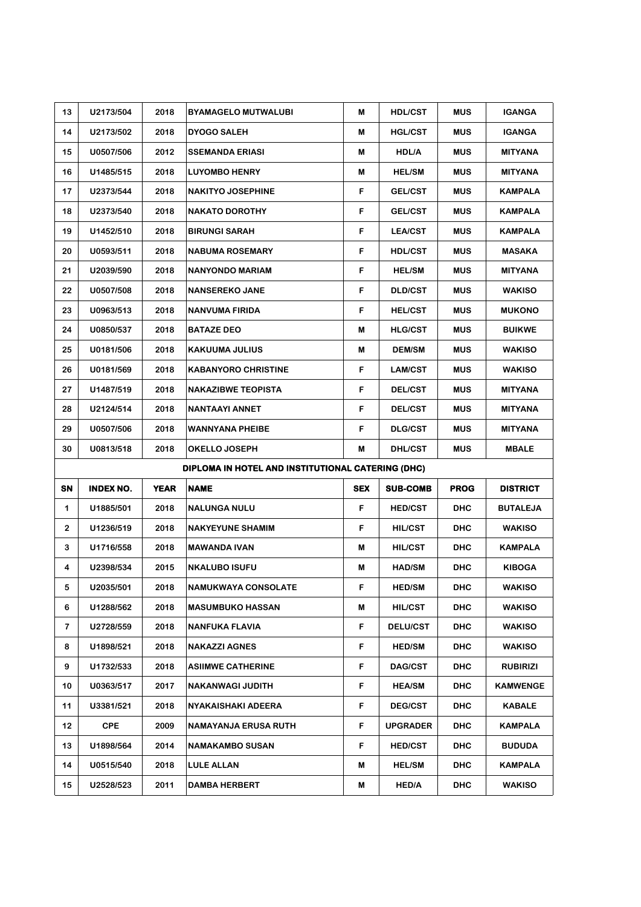| 13           | U2173/504        | 2018        | <b>BYAMAGELO MUTWALUBI</b>                        | M          | <b>HDL/CST</b>  | <b>MUS</b>  | <b>IGANGA</b>   |
|--------------|------------------|-------------|---------------------------------------------------|------------|-----------------|-------------|-----------------|
| 14           | U2173/502        | 2018        | <b>DYOGO SALEH</b>                                | М          | <b>HGL/CST</b>  | <b>MUS</b>  | <b>IGANGA</b>   |
| 15           | U0507/506        | 2012        | <b>SSEMANDA ERIASI</b>                            | M          | <b>HDL/A</b>    | <b>MUS</b>  | <b>MITYANA</b>  |
| 16           | U1485/515        | 2018        | <b>LUYOMBO HENRY</b>                              | M          | <b>HEL/SM</b>   | <b>MUS</b>  | <b>MITYANA</b>  |
| 17           | U2373/544        | 2018        | <b>NAKITYO JOSEPHINE</b>                          | F          | <b>GEL/CST</b>  | <b>MUS</b>  | <b>KAMPALA</b>  |
| 18           | U2373/540        | 2018        | <b>NAKATO DOROTHY</b>                             | F          | <b>GEL/CST</b>  | <b>MUS</b>  | <b>KAMPALA</b>  |
| 19           | U1452/510        | 2018        | <b>BIRUNGI SARAH</b>                              | F          | <b>LEA/CST</b>  | <b>MUS</b>  | <b>KAMPALA</b>  |
| 20           | U0593/511        | 2018        | <b>NABUMA ROSEMARY</b>                            | F          | <b>HDL/CST</b>  | <b>MUS</b>  | <b>MASAKA</b>   |
| 21           | U2039/590        | 2018        | <b>NANYONDO MARIAM</b>                            | F          | <b>HEL/SM</b>   | <b>MUS</b>  | <b>MITYANA</b>  |
| 22           | U0507/508        | 2018        | <b>NANSEREKO JANE</b>                             | F          | <b>DLD/CST</b>  | <b>MUS</b>  | <b>WAKISO</b>   |
| 23           | U0963/513        | 2018        | <b>NANVUMA FIRIDA</b>                             | F          | <b>HELICST</b>  | <b>MUS</b>  | <b>MUKONO</b>   |
| 24           | U0850/537        | 2018        | <b>BATAZE DEO</b>                                 | M          | <b>HLG/CST</b>  | <b>MUS</b>  | <b>BUIKWE</b>   |
| 25           | U0181/506        | 2018        | <b>KAKUUMA JULIUS</b>                             | M          | <b>DEM/SM</b>   | <b>MUS</b>  | <b>WAKISO</b>   |
| 26           | U0181/569        | 2018        | <b>KABANYORO CHRISTINE</b>                        | F          | <b>LAM/CST</b>  | <b>MUS</b>  | <b>WAKISO</b>   |
| 27           | U1487/519        | 2018        | <b>NAKAZIBWE TEOPISTA</b>                         | F          | <b>DEL/CST</b>  | <b>MUS</b>  | <b>MITYANA</b>  |
| 28           | U2124/514        | 2018        | <b>NANTAAYI ANNET</b>                             | F          | <b>DEL/CST</b>  | <b>MUS</b>  | <b>MITYANA</b>  |
| 29           | U0507/506        | 2018        | <b>WANNYANA PHEIBE</b>                            | F          | <b>DLG/CST</b>  | <b>MUS</b>  | <b>MITYANA</b>  |
|              | U0813/518        | 2018        | OKELLO JOSEPH                                     | M          | <b>DHL/CST</b>  | <b>MUS</b>  | <b>MBALE</b>    |
| 30           |                  |             |                                                   |            |                 |             |                 |
|              |                  |             | DIPLOMA IN HOTEL AND INSTITUTIONAL CATERING (DHC) |            |                 |             |                 |
| SN           | <b>INDEX NO.</b> | <b>YEAR</b> | <b>NAME</b>                                       | <b>SEX</b> | <b>SUB-COMB</b> | <b>PROG</b> | <b>DISTRICT</b> |
| 1            | U1885/501        | 2018        | <b>NALUNGA NULU</b>                               | F          | <b>HED/CST</b>  | <b>DHC</b>  | <b>BUTALEJA</b> |
| $\mathbf{2}$ | U1236/519        | 2018        | <b>NAKYEYUNE SHAMIM</b>                           | F          | <b>HIL/CST</b>  | <b>DHC</b>  | <b>WAKISO</b>   |
| 3            | U1716/558        | 2018        | <b>MAWANDA IVAN</b>                               | M          | <b>HIL/CST</b>  | <b>DHC</b>  | <b>KAMPALA</b>  |
| 4            | U2398/534        | 2015        | <b>NKALUBO ISUFU</b>                              | M          | <b>HAD/SM</b>   | <b>DHC</b>  | <b>KIBOGA</b>   |
| 5.           | U2035/501        | 2018        | NAMUKWAYA CONSOLATE                               |            | <b>HED/SM</b>   | <b>DHC</b>  | <b>WAKISO</b>   |
| 6            | U1288/562        | 2018        | <b>MASUMBUKO HASSAN</b>                           | M          | <b>HIL/CST</b>  | <b>DHC</b>  | <b>WAKISO</b>   |
| $\mathbf{7}$ | U2728/559        | 2018        | <b>NANFUKA FLAVIA</b>                             | F          | <b>DELU/CST</b> | <b>DHC</b>  | <b>WAKISO</b>   |
| 8            | U1898/521        | 2018        | <b>NAKAZZI AGNES</b>                              | F          | <b>HED/SM</b>   | <b>DHC</b>  | <b>WAKISO</b>   |
| 9            | U1732/533        | 2018        | <b>ASIIMWE CATHERINE</b>                          | F          | <b>DAG/CST</b>  | <b>DHC</b>  | <b>RUBIRIZI</b> |
| 10           | U0363/517        | 2017        | <b>NAKANWAGI JUDITH</b>                           | F          | <b>HEA/SM</b>   | <b>DHC</b>  | <b>KAMWENGE</b> |
| 11           | U3381/521        | 2018        | <b>NYAKAISHAKI ADEERA</b>                         | F          | <b>DEG/CST</b>  | <b>DHC</b>  | <b>KABALE</b>   |
| 12           | <b>CPE</b>       | 2009        | <b>NAMAYANJA ERUSA RUTH</b>                       | F          | <b>UPGRADER</b> | <b>DHC</b>  | <b>KAMPALA</b>  |
| 13           | U1898/564        | 2014        | <b>NAMAKAMBO SUSAN</b>                            | F          | <b>HED/CST</b>  | <b>DHC</b>  | <b>BUDUDA</b>   |
| 14           | U0515/540        | 2018        | <b>LULE ALLAN</b>                                 | M          | <b>HEL/SM</b>   | <b>DHC</b>  | <b>KAMPALA</b>  |